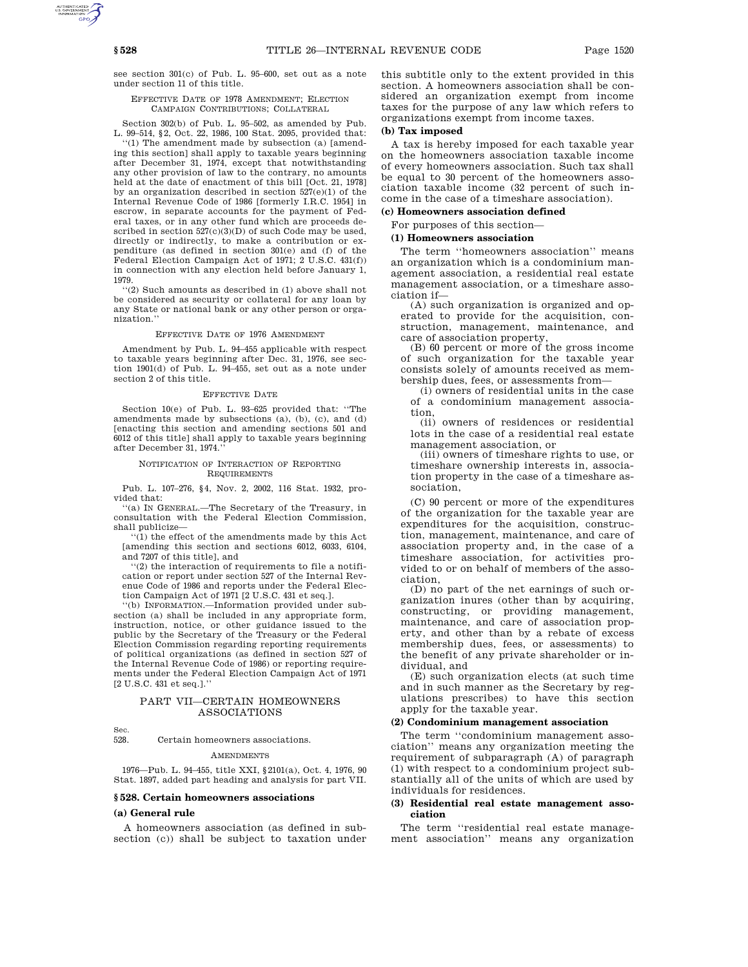see section 301(c) of Pub. L. 95–600, set out as a note under section 11 of this title.

# EFFECTIVE DATE OF 1978 AMENDMENT; ELECTION CAMPAIGN CONTRIBUTIONS; COLLATERAL

Section 302(b) of Pub. L. 95–502, as amended by Pub. L. 99–514, §2, Oct. 22, 1986, 100 Stat. 2095, provided that:

''(1) The amendment made by subsection (a) [amending this section] shall apply to taxable years beginning after December 31, 1974, except that notwithstanding any other provision of law to the contrary, no amounts held at the date of enactment of this bill [Oct. 21, 1978] by an organization described in section 527(e)(1) of the Internal Revenue Code of 1986 [formerly I.R.C. 1954] in escrow, in separate accounts for the payment of Federal taxes, or in any other fund which are proceeds described in section 527(c)(3)(D) of such Code may be used, directly or indirectly, to make a contribution or expenditure (as defined in section 301(e) and (f) of the Federal Election Campaign Act of 1971; 2 U.S.C. 431(f)) in connection with any election held before January 1, 1979.

''(2) Such amounts as described in (1) above shall not be considered as security or collateral for any loan by any State or national bank or any other person or organization.''

### EFFECTIVE DATE OF 1976 AMENDMENT

Amendment by Pub. L. 94–455 applicable with respect to taxable years beginning after Dec. 31, 1976, see section 1901(d) of Pub. L. 94–455, set out as a note under section 2 of this title.

#### EFFECTIVE DATE

Section 10(e) of Pub. L. 93–625 provided that: ''The amendments made by subsections (a), (b), (c), and (d) [enacting this section and amending sections 501 and 6012 of this title] shall apply to taxable years beginning after December 31, 1974.''

#### NOTIFICATION OF INTERACTION OF REPORTING REQUIREMENTS

Pub. L. 107–276, §4, Nov. 2, 2002, 116 Stat. 1932, provided that:

''(a) IN GENERAL.—The Secretary of the Treasury, in consultation with the Federal Election Commission, shall publicize—

''(1) the effect of the amendments made by this Act [amending this section and sections 6012, 6033, 6104, and 7207 of this title], and

''(2) the interaction of requirements to file a notification or report under section 527 of the Internal Revenue Code of 1986 and reports under the Federal Election Campaign Act of 1971 [2 U.S.C. 431 et seq.].

''(b) INFORMATION.—Information provided under subsection (a) shall be included in any appropriate form, instruction, notice, or other guidance issued to the public by the Secretary of the Treasury or the Federal Election Commission regarding reporting requirements of political organizations (as defined in section 527 of the Internal Revenue Code of 1986) or reporting requirements under the Federal Election Campaign Act of 1971 [2 U.S.C. 431 et seq.].''

# PART VII—CERTAIN HOMEOWNERS ASSOCIATIONS

Sec.

528. Certain homeowners associations.

#### **AMENDMENTS**

1976—Pub. L. 94–455, title XXI, §2101(a), Oct. 4, 1976, 90 Stat. 1897, added part heading and analysis for part VII.

#### **§ 528. Certain homeowners associations**

#### **(a) General rule**

A homeowners association (as defined in subsection (c)) shall be subject to taxation under this subtitle only to the extent provided in this section. A homeowners association shall be considered an organization exempt from income taxes for the purpose of any law which refers to organizations exempt from income taxes.

# **(b) Tax imposed**

A tax is hereby imposed for each taxable year on the homeowners association taxable income of every homeowners association. Such tax shall be equal to 30 percent of the homeowners association taxable income (32 percent of such income in the case of a timeshare association).

# **(c) Homeowners association defined**

For purposes of this section—

## **(1) Homeowners association**

The term ''homeowners association'' means an organization which is a condominium management association, a residential real estate management association, or a timeshare association if—

(A) such organization is organized and operated to provide for the acquisition, construction, management, maintenance, and care of association property,

(B) 60 percent or more of the gross income of such organization for the taxable year consists solely of amounts received as membership dues, fees, or assessments from—

(i) owners of residential units in the case of a condominium management association,

(ii) owners of residences or residential lots in the case of a residential real estate management association, or

(iii) owners of timeshare rights to use, or timeshare ownership interests in, association property in the case of a timeshare association,

(C) 90 percent or more of the expenditures of the organization for the taxable year are expenditures for the acquisition, construction, management, maintenance, and care of association property and, in the case of a timeshare association, for activities provided to or on behalf of members of the association,

(D) no part of the net earnings of such organization inures (other than by acquiring, constructing, or providing management, maintenance, and care of association property, and other than by a rebate of excess membership dues, fees, or assessments) to the benefit of any private shareholder or individual, and

(E) such organization elects (at such time and in such manner as the Secretary by regulations prescribes) to have this section apply for the taxable year.

# **(2) Condominium management association**

The term ''condominium management association'' means any organization meeting the requirement of subparagraph (A) of paragraph (1) with respect to a condominium project substantially all of the units of which are used by individuals for residences.

# **(3) Residential real estate management association**

The term ''residential real estate management association'' means any organization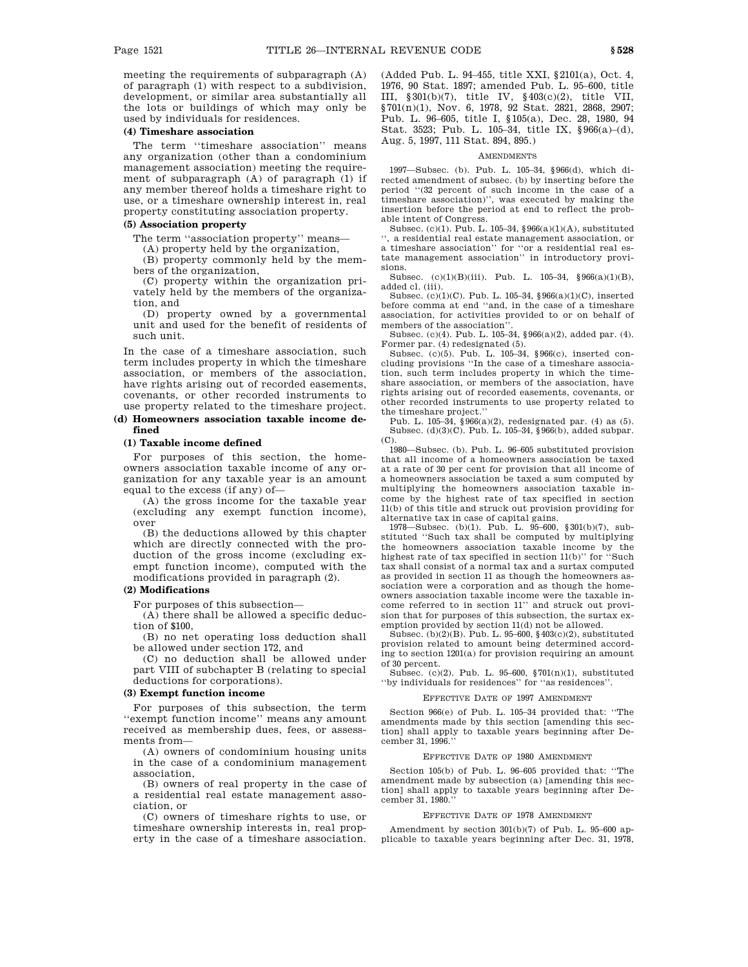meeting the requirements of subparagraph (A) of paragraph (1) with respect to a subdivision, development, or similar area substantially all the lots or buildings of which may only be used by individuals for residences.

#### **(4) Timeshare association**

The term "timeshare association" means any organization (other than a condominium management association) meeting the requirement of subparagraph (A) of paragraph (1) if any member thereof holds a timeshare right to use, or a timeshare ownership interest in, real property constituting association property.

# **(5) Association property**

The term ''association property'' means—

(A) property held by the organization,

(B) property commonly held by the members of the organization,

(C) property within the organization privately held by the members of the organization, and

(D) property owned by a governmental unit and used for the benefit of residents of such unit.

In the case of a timeshare association, such term includes property in which the timeshare association, or members of the association, have rights arising out of recorded easements, covenants, or other recorded instruments to use property related to the timeshare project.

## **(d) Homeowners association taxable income defined**

#### **(1) Taxable income defined**

For purposes of this section, the homeowners association taxable income of any organization for any taxable year is an amount equal to the excess (if any) of—

(A) the gross income for the taxable year (excluding any exempt function income), over

(B) the deductions allowed by this chapter which are directly connected with the production of the gross income (excluding exempt function income), computed with the modifications provided in paragraph (2).

# **(2) Modifications**

For purposes of this subsection—

(A) there shall be allowed a specific deduction of \$100,

(B) no net operating loss deduction shall be allowed under section 172, and

(C) no deduction shall be allowed under part VIII of subchapter B (relating to special deductions for corporations).

#### **(3) Exempt function income**

For purposes of this subsection, the term ''exempt function income'' means any amount received as membership dues, fees, or assessments from—

(A) owners of condominium housing units in the case of a condominium management association,

(B) owners of real property in the case of a residential real estate management association, or

(C) owners of timeshare rights to use, or timeshare ownership interests in, real property in the case of a timeshare association. (Added Pub. L. 94–455, title XXI, §2101(a), Oct. 4, 1976, 90 Stat. 1897; amended Pub. L. 95–600, title III, §301(b)(7), title IV, §403(c)(2), title VII, §701(n)(1), Nov. 6, 1978, 92 Stat. 2821, 2868, 2907; Pub. L. 96–605, title I, §105(a), Dec. 28, 1980, 94 Stat. 3523; Pub. L. 105–34, title IX, §966(a)–(d), Aug. 5, 1997, 111 Stat. 894, 895.)

#### AMENDMENTS

1997—Subsec. (b). Pub. L. 105–34, §966(d), which directed amendment of subsec. (b) by inserting before the period ''(32 percent of such income in the case of a timeshare association)'', was executed by making the insertion before the period at end to reflect the probable intent of Congress.

Subsec. (c)(1). Pub. L. 105–34, §966(a)(1)(A), substituted '', a residential real estate management association, or a timeshare association'' for ''or a residential real estate management association'' in introductory provisions.

Subsec. (c)(1)(B)(iii). Pub. L. 105–34, §966(a)(1)(B), added cl. (iii).

Subsec. (c)(1)(C). Pub. L. 105–34, §966(a)(1)(C), inserted before comma at end ''and, in the case of a timeshare association, for activities provided to or on behalf of members of the association'

Subsec. (c)(4). Pub. L. 105–34, §966(a)(2), added par. (4). Former par. (4) redesignated (5).

Subsec. (c)(5). Pub. L. 105–34, §966(c), inserted concluding provisions ''In the case of a timeshare association, such term includes property in which the timeshare association, or members of the association, have rights arising out of recorded easements, covenants, or other recorded instruments to use property related to the timeshare project.''

Pub. L. 105–34, §966(a)(2), redesignated par. (4) as (5). Subsec. (d)(3)(C). Pub. L. 105–34, §966(b), added subpar. (C).

1980—Subsec. (b). Pub. L. 96–605 substituted provision that all income of a homeowners association be taxed at a rate of 30 per cent for provision that all income of a homeowners association be taxed a sum computed by multiplying the homeowners association taxable income by the highest rate of tax specified in section 11(b) of this title and struck out provision providing for alternative tax in case of capital gains.

1978—Subsec. (b)(1). Pub. L. 95–600, §301(b)(7), substituted ''Such tax shall be computed by multiplying the homeowners association taxable income by the highest rate of tax specified in section 11(b)'' for ''Such tax shall consist of a normal tax and a surtax computed as provided in section 11 as though the homeowners association were a corporation and as though the homeowners association taxable income were the taxable income referred to in section 11'' and struck out provision that for purposes of this subsection, the surtax exemption provided by section 11(d) not be allowed.

Subsec. (b)(2)(B). Pub. L. 95–600, §403(c)(2), substituted provision related to amount being determined according to section 1201(a) for provision requiring an amount of 30 percent.

Subsec. (c)(2). Pub. L. 95–600, §701(n)(1), substituted ''by individuals for residences'' for ''as residences''.

# EFFECTIVE DATE OF 1997 AMENDMENT

Section 966(e) of Pub. L. 105–34 provided that: ''The amendments made by this section [amending this section] shall apply to taxable years beginning after December 31, 1996.''

#### EFFECTIVE DATE OF 1980 AMENDMENT

Section 105(b) of Pub. L. 96–605 provided that: ''The amendment made by subsection (a) [amending this section] shall apply to taxable years beginning after December 31, 1980.''

#### EFFECTIVE DATE OF 1978 AMENDMENT

Amendment by section 301(b)(7) of Pub. L. 95–600 applicable to taxable years beginning after Dec. 31, 1978,